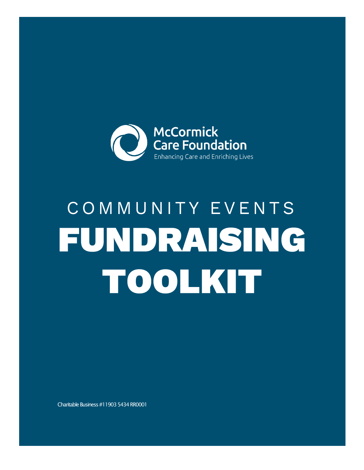

# COMMUNITY EVENTS FUNDRAISING TOOLKIT

Charitable Business #11903 5434 RR0001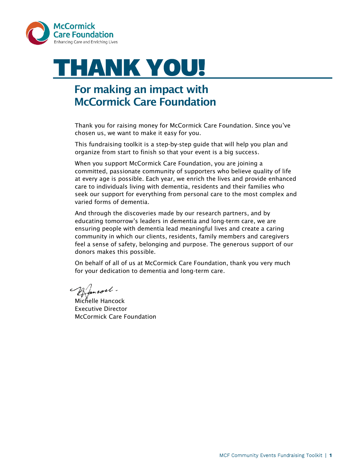

# **THANK YOU!**

# For making an impact with McCormick Care Foundation

Thank you for raising money for McCormick Care Foundation. Since you've chosen us, we want to make it easy for you.

This fundraising toolkit is a step-by-step guide that will help you plan and organize from start to finish so that your event is a big success.

When you support McCormick Care Foundation, you are joining a committed, passionate community of supporters who believe quality of life at every age is possible. Each year, we enrich the lives and provide enhanced care to individuals living with dementia, residents and their families who seek our support for everything from personal care to the most complex and varied forms of dementia.

And through the discoveries made by our research partners, and by educating tomorrow's leaders in dementia and long-term care, we are ensuring people with dementia lead meaningful lives and create a caring community in which our clients, residents, family members and caregivers feel a sense of safety, belonging and purpose. The generous support of our donors makes this possible.

On behalf of all of us at McCormick Care Foundation, thank you very much for your dedication to dementia and long-term care.

ancoch.

Michelle Hancock Executive Director McCormick Care Foundation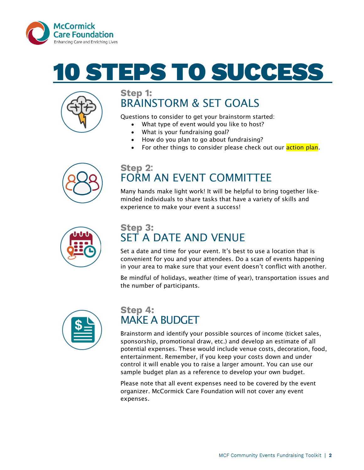

# TEPS TO SUCCES



### Step 1: BRAINSTORM & SET GOALS

Questions to consider to get your brainstorm started:

- What type of event would you like to host?
- What is your fundraising goal?
- How do you plan to go about fundraising?
- For other things to consider please check out our **action plan**.



### Step 2: FORM AN EVENT COMMITTEE

Many hands make light work! It will be helpful to bring together likeminded individuals to share tasks that have a variety of skills and experience to make your event a success!



### **Step 3:** SET A DATE AND VENUE

Set a date and time for your event. It's best to use a location that is convenient for you and your attendees. Do a scan of events happening in your area to make sure that your event doesn't conflict with another.

Be mindful of holidays, weather (time of year), transportation issues and the number of participants.



### Step 4: MAKE A BUDGET

Brainstorm and identify your possible sources of income (ticket sales, sponsorship, promotional draw, etc.) and develop an estimate of all potential expenses. These would include venue costs, decoration, food, entertainment. Remember, if you keep your costs down and under control it will enable you to raise a larger amount. You can use our sample budget plan as a reference to develop your own budget.

Please note that all event expenses need to be covered by the event organizer. McCormick Care Foundation will not cover any event expenses.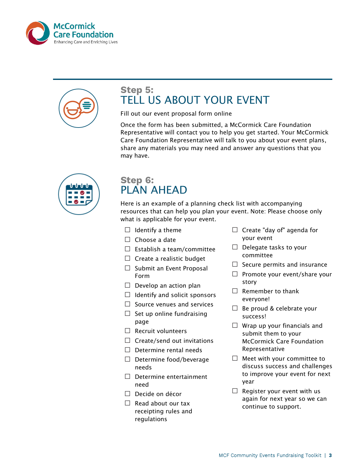



### Step 5: TELL US ABOUT YOUR EVENT

Fill out our event proposal form [online](http://www.sickkidsfoundation.com/get-involved/eventregistration)

Once the form has been submitted, a McCormick Care Foundation Representative will contact you to help you get started. Your McCormick Care Foundation Representative will talk to you about your event plans, share any materials you may need and answer any questions that you may have.



#### Step 6: PLAN AHEAD

Here is an example of a planning check list with accompanying resources that can help you plan your event. Note: Please choose only what is applicable for your event.

- $\Box$  Identify a theme
- $\Box$  Choose a date
- $\Box$  Establish a team/committee
- $\Box$  Create a realistic budget
- $\Box$  Submit an Event Proposal Form
- $\Box$  Develop an action plan
- $\Box$  Identify and solicit sponsors
- $\Box$  Source venues and services
- $\Box$  Set up online fundraising page
- $\Box$  Recruit volunteers
- $\Box$  Create/send out invitations
- $\Box$  Determine rental needs
- □ Determine food/beverage needs
- □ Determine entertainment need
- $\Box$  Decide on décor
- $\Box$  Read about our tax [receipting rules](http://sickkidsfoundation.com/-/media/Files/SKF/PDFs/Get-Involved/Third-Party-Tool-Kit/SickKids-Foundation-Tax-Receipting-Guide.pdf?la=en) [and](http://sickkidsfoundation.com/-/media/Files/SKF/PDFs/Get-Involved/Third-Party-Tool-Kit/SickKids-Foundation-Tax-Receipting-Guide.pdf?la=en)  [regulations](http://sickkidsfoundation.com/-/media/Files/SKF/PDFs/Get-Involved/Third-Party-Tool-Kit/SickKids-Foundation-Tax-Receipting-Guide.pdf?la=en)
- $\Box$  Create "day of" agenda for your event
- $\Box$  Delegate tasks to your committee
- $\Box$  Secure [permits and insurance](http://sickkidsfoundation.com/-/media/Files/SKF/PDFs/Get-Involved/Third-Party-Tool-Kit/Licenses-and-Insurance_FINAL.pdf)
- $\Box$  Promote your event/share your [story](http://sickkidsfoundation.com/-/media/Files/SKF/PDFs/Get-Involved/Third-Party-Tool-Kit/Sample-Press-Release_FINAL.pdf)
- $\Box$  Remember to thank everyone!
- $\Box$  Be proud & celebrate your success!
- $\Box$  Wrap up your financials and submit them to your McCormick Care Foundation Representative
- $\Box$  Meet with your committee to discuss success and challenges to improve your event for next year
- $\Box$  Register your event with us again for next year so we can continue to support.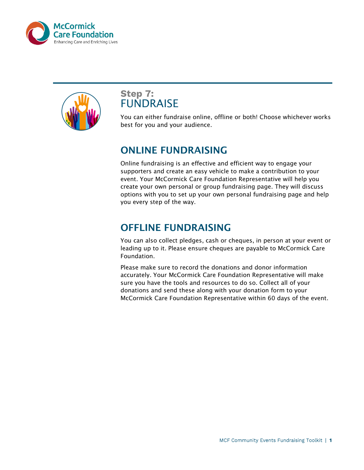



#### **Step 7: FUNDRAISE**

You can either fundraise online, offline or both! Choose whichever works best for you and your audience.

#### ONLINE FUNDRAISING

Online fundraising is an effective and efficient way to engage your supporters and create an easy vehicle to make a contribution to your event. Your McCormick Care Foundation Representative will help you create your own personal or group fundraising page. They will discuss options with you to set up your own personal fundraising page and help you every step of the way.

## OFFLINE FUNDRAISING

You can also collect pledges, cash or cheques, in person at your event or leading up to it. Please ensure cheques are payable to McCormick Care Foundation.

Please make sure to record the donations and donor information accurately. Your McCormick Care Foundation Representative will make sure you have the tools and resources to do so. Collect all of your donations and send these along with your donation form to your McCormick Care Foundation Representative within 60 days of the event.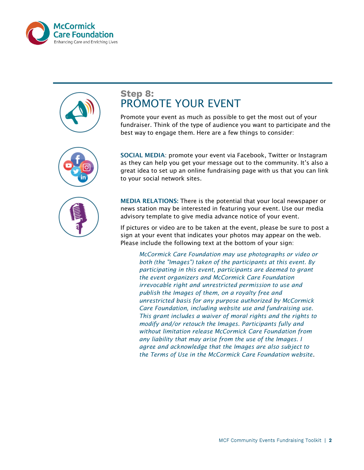







#### **Step 8:** PROMOTE YOUR EVENT

Promote your event as much as possible to get the most out of your fundraiser. Think of the type of audience you want to participate and the best way to engage them. Here are a few things to consider:

SOCIAL MEDIA: promote your event via Facebook, Twitter or Instagram as they can help you get your message out to the community. It's also a great idea to set up an online fundraising page with us that you can link to your social network sites.

MEDIA RELATIONS: There is the potential that your local newspaper or news station may be interested in featuring your event. Use our [media](http://sickkidsfoundation.com/-/media/Files/SKF/PDFs/Get-Involved/Third-Party-Tool-Kit/Media-Advisory-Template_FINAL.pdf)  [advisory template t](http://sickkidsfoundation.com/-/media/Files/SKF/PDFs/Get-Involved/Third-Party-Tool-Kit/Media-Advisory-Template_FINAL.pdf)o give media advance notice of your event.

If pictures or video are to be taken at the event, please be sure to post a sign at your event that indicates your photos may appear on the web. Please include the following text at the bottom of your sign:

*McCormick Care Foundation may use photographs or video or both (the "Images") taken of the participants at this event. By participating in this event, participants are deemed to grant the event organizers and McCormick Care Foundation irrevocable right and unrestricted permission to use and publish the Images of them, on a royalty free and unrestricted basis for any purpose authorized by McCormick Care Foundation, including website use and fundraising use. This grant includes a waiver of moral rights and the rights to modify and/or retouch the Images. Participants fully and without limitation release McCormick Care Foundation from any liability that may arise from the use of the Images. I agree and acknowledge that the Images are also subject to the [Terms of Use i](https://www.mccormickcarefoundation.ca/terms-of-use)n the McCormick Care Foundation website*.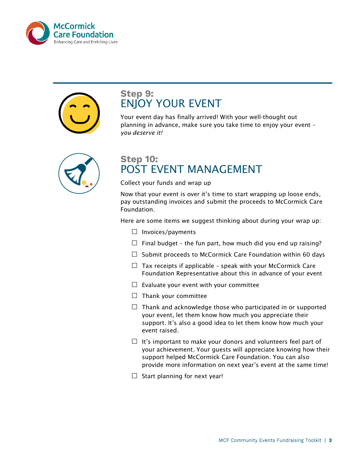



#### **Step 9:** ENJOY YOUR EVENT

Your event day has finally arrived! With your well-thought out planning in advance, make sure you take time to enjoy your event – *you deserve it!*



#### **Step 10:** POST EVENT MANAGEMENT

Collect your funds and wrap up

Now that your event is over it's time to start wrapping up loose ends, pay outstanding invoices and submit the proceeds to McCormick Care Foundation.

Here are some items we suggest thinking about during your wrap up:

- $\Box$  Invoices/payments
- $\Box$  Final budget the fun part, how much did you end up raising?
- $\Box$  Submit proceeds to McCormick Care Foundation within 60 days
- $\Box$  Tax receipts if applicable speak with your McCormick Care Foundation Representative about this in advance of your event
- $\Box$  Evaluate your event with your committee
- $\Box$  Thank your committee
- $\Box$  Thank and acknowledge those who participated in or supported your event, let them know how much you appreciate their support. It's also a good idea to let them know how much your event raised.
- $\Box$  It's important to make your donors and volunteers feel part of your achievement. Your guests will appreciate knowing how their support helped McCormick Care Foundation. You can also provide more information on next year's event at the same time!
- $\Box$  Start planning for next year!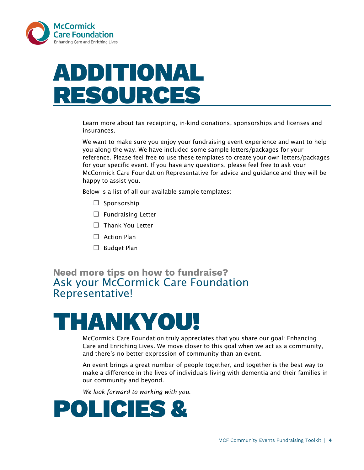

# ADDITIONAL RESOURCES

Learn more about [tax receipting](http://sickkidsfoundation.com/-/media/Files/SKF/PDFs/Get-Involved/Third-Party-Tool-Kit/SickKids-Foundation-Tax-Receipting-Guide.pdf?la=en)[, in-kind donations,](http://sickkidsfoundation.com/-/media/Files/SKF/PDFs/Get-Involved/Third-Party-Tool-Kit/Gift-in-Kind-Form_FINAL.pdf) [sponsorships a](http://sickkidsfoundation.com/-/media/Files/SKF/PDFs/Get-Involved/Third-Party-Tool-Kit/Sample-Sponsorship-Package_FINAL.pdf)nd [licenses and](http://sickkidsfoundation.com/-/media/Files/SKF/PDFs/Get-Involved/Third-Party-Tool-Kit/Licenses-and-Insurance_FINAL.pdf)  [insurances.](http://sickkidsfoundation.com/-/media/Files/SKF/PDFs/Get-Involved/Third-Party-Tool-Kit/Licenses-and-Insurance_FINAL.pdf)

We want to make sure you enjoy your fundraising event experience and want to help you along the way. We have included some sample letters/packages for your reference. Please feel free to use these templates to create your own letters/packages for your specific event. If you have any questions, please feel free to ask your McCormick Care Foundation Representative for advice and guidance and they will be happy to assist you.

Below is a list of all our available sample templates:

- $\square$  Sponsorship
- $\Box$  Fundraising Letter
- □ Thank You Letter
- $\Box$  Action Plan
- □ Budget Plan

#### **Need more tips on how to fundraise?** Ask your McCormick Care Foundation Representative!

# **HANKYOU!**

McCormick Care Foundation truly appreciates that you share our goal: Enhancing Care and Enriching Lives. We move closer to this goal when we act as a community, and there's no better expression of community than an event.

An event brings a great number of people together, and together is the best way to make a difference in the lives of individuals living with dementia and their families in our community and beyond.

*We look forward to working with you.*